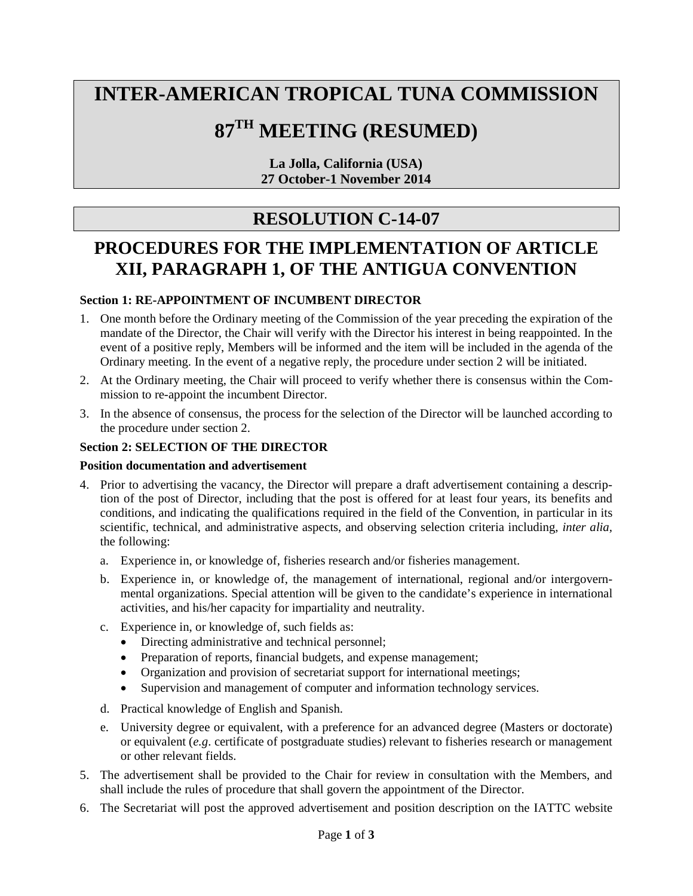# **INTER-AMERICAN TROPICAL TUNA COMMISSION**

# **87TH MEETING (RESUMED)**

**La Jolla, California (USA) 27 October-1 November 2014**

# **RESOLUTION C-14-07**

# **PROCEDURES FOR THE IMPLEMENTATION OF ARTICLE XII, PARAGRAPH 1, OF THE ANTIGUA CONVENTION**

# **Section 1: RE-APPOINTMENT OF INCUMBENT DIRECTOR**

- 1. One month before the Ordinary meeting of the Commission of the year preceding the expiration of the mandate of the Director, the Chair will verify with the Director his interest in being reappointed. In the event of a positive reply, Members will be informed and the item will be included in the agenda of the Ordinary meeting. In the event of a negative reply, the procedure under section 2 will be initiated.
- 2. At the Ordinary meeting, the Chair will proceed to verify whether there is consensus within the Commission to re-appoint the incumbent Director.
- 3. In the absence of consensus, the process for the selection of the Director will be launched according to the procedure under section 2.

# **Section 2: SELECTION OF THE DIRECTOR**

#### **Position documentation and advertisement**

- 4. Prior to advertising the vacancy, the Director will prepare a draft advertisement containing a description of the post of Director, including that the post is offered for at least four years, its benefits and conditions, and indicating the qualifications required in the field of the Convention, in particular in its scientific, technical, and administrative aspects, and observing selection criteria including, *inter alia,* the following:
	- a. Experience in, or knowledge of, fisheries research and/or fisheries management.
	- b. Experience in, or knowledge of, the management of international, regional and/or intergovernmental organizations. Special attention will be given to the candidate's experience in international activities, and his/her capacity for impartiality and neutrality.
	- c. Experience in, or knowledge of, such fields as:
		- Directing administrative and technical personnel;
		- Preparation of reports, financial budgets, and expense management;
		- Organization and provision of secretariat support for international meetings;
		- Supervision and management of computer and information technology services.
	- d. Practical knowledge of English and Spanish.
	- e. University degree or equivalent, with a preference for an advanced degree (Masters or doctorate) or equivalent (*e.g*. certificate of postgraduate studies) relevant to fisheries research or management or other relevant fields.
- 5. The advertisement shall be provided to the Chair for review in consultation with the Members, and shall include the rules of procedure that shall govern the appointment of the Director.
- 6. The Secretariat will post the approved advertisement and position description on the IATTC website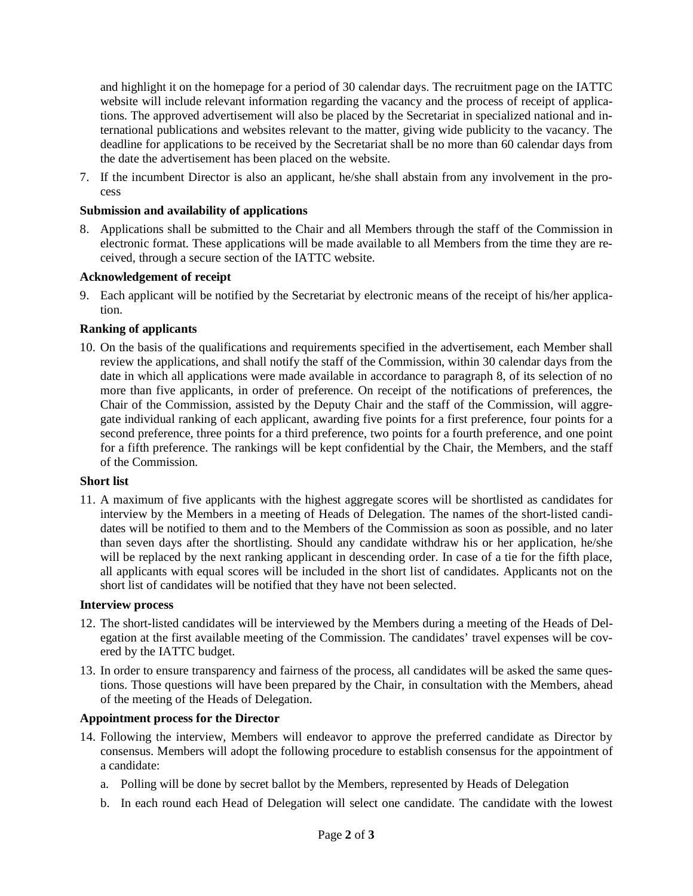and highlight it on the homepage for a period of 30 calendar days. The recruitment page on the IATTC website will include relevant information regarding the vacancy and the process of receipt of applications. The approved advertisement will also be placed by the Secretariat in specialized national and international publications and websites relevant to the matter, giving wide publicity to the vacancy. The deadline for applications to be received by the Secretariat shall be no more than 60 calendar days from the date the advertisement has been placed on the website.

7. If the incumbent Director is also an applicant, he/she shall abstain from any involvement in the process

### **Submission and availability of applications**

8. Applications shall be submitted to the Chair and all Members through the staff of the Commission in electronic format. These applications will be made available to all Members from the time they are received, through a secure section of the IATTC website.

# **Acknowledgement of receipt**

9. Each applicant will be notified by the Secretariat by electronic means of the receipt of his/her application.

# **Ranking of applicants**

10. On the basis of the qualifications and requirements specified in the advertisement, each Member shall review the applications, and shall notify the staff of the Commission, within 30 calendar days from the date in which all applications were made available in accordance to paragraph 8, of its selection of no more than five applicants, in order of preference. On receipt of the notifications of preferences, the Chair of the Commission, assisted by the Deputy Chair and the staff of the Commission, will aggregate individual ranking of each applicant, awarding five points for a first preference, four points for a second preference, three points for a third preference, two points for a fourth preference, and one point for a fifth preference. The rankings will be kept confidential by the Chair, the Members, and the staff of the Commission.

#### **Short list**

11. A maximum of five applicants with the highest aggregate scores will be shortlisted as candidates for interview by the Members in a meeting of Heads of Delegation. The names of the short-listed candidates will be notified to them and to the Members of the Commission as soon as possible, and no later than seven days after the shortlisting. Should any candidate withdraw his or her application, he/she will be replaced by the next ranking applicant in descending order. In case of a tie for the fifth place, all applicants with equal scores will be included in the short list of candidates. Applicants not on the short list of candidates will be notified that they have not been selected.

#### **Interview process**

- 12. The short-listed candidates will be interviewed by the Members during a meeting of the Heads of Delegation at the first available meeting of the Commission. The candidates' travel expenses will be covered by the IATTC budget.
- 13. In order to ensure transparency and fairness of the process, all candidates will be asked the same questions. Those questions will have been prepared by the Chair, in consultation with the Members, ahead of the meeting of the Heads of Delegation.

#### **Appointment process for the Director**

- 14. Following the interview, Members will endeavor to approve the preferred candidate as Director by consensus. Members will adopt the following procedure to establish consensus for the appointment of a candidate:
	- a. Polling will be done by secret ballot by the Members, represented by Heads of Delegation
	- b. In each round each Head of Delegation will select one candidate. The candidate with the lowest